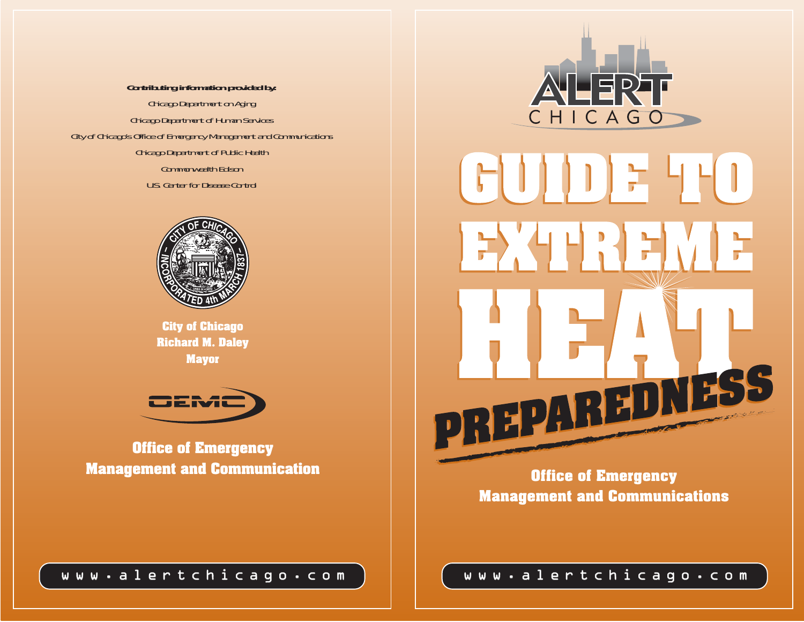**Contributing information provided by:** Chicago Department on Aging Chicago Department of Human Services City of Chicago's Office of Emergency Management and Communications Chicago Department of Public Health Commonwealth Edison U.S. Center for Disease Control



**City of Chicago Richard M. Daley Mayor**



**Office of Emergency Management and Communication**





**Office of Emergency Management and Communications**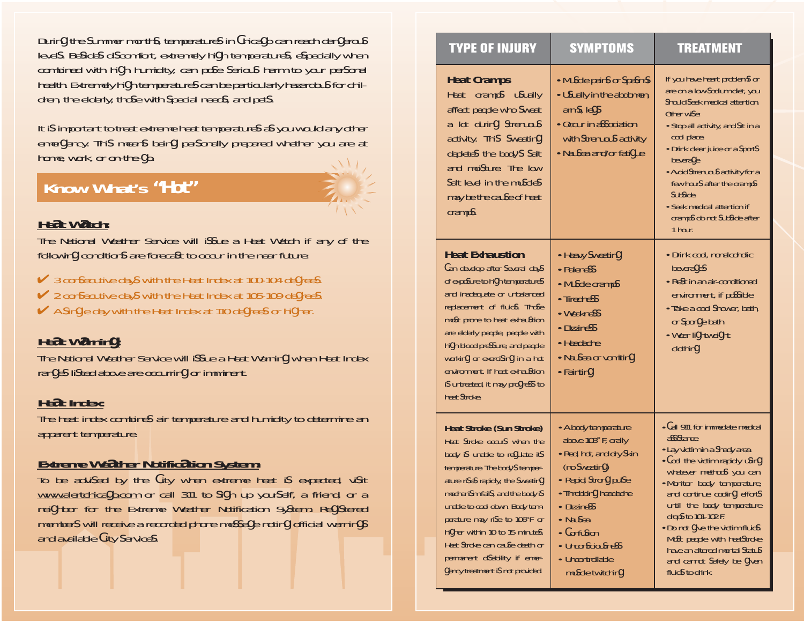During the summer months, temperatures in Chicago can reach dangerous level s. Besides di scomfort, extremely hi gh temperatures, especially when combined with hi gh humidity, can pose serious harm to your personal health. Extremely hi gh temperatures can be particularly hazardous for children, the elderly, those with special needs, and pets.

It i s important to treat extreme heat temperatures as you would any other emergency. Thi s means being personally prepared whether you are at home, work, or on-the-go.

## **Know What's** *"Hot"*

## **Heat Watch:**

The National Weather Service will issue a Heat Watch if any of the following conditions are forecast to occur in the near future:

- $\checkmark$  3 consecutive days with the Heat Index at 100-104 degrees.
- **✓** 2 consecutive days with the Heat Index at 105-109 degrees.
- $\blacktriangleright$  A single day with the Heat Index at 110 degrees or higher.

## **Heat Warning:**

The National Weather Service will issue a Heat Warning when Heat Index ranges li sted above are occurring or imminent.

## **Heat Index:**

The heat index combines air temperature and humidity to determine an apparent temperature.

## **Extreme Weather Notification System:**

To be advised by the City when extreme heat is expected, visit <u>www.alertchicago.com</u> or call 311 to sign up yourself, a friend, or a nei ghbor for the Extreme Weather Notification System. Registered members will receive a recorded phone message noting official warnings and available City services.

| <b>TYPE OF INJURY</b>                                                                                                                                                                                                                                                                                                                                                                                                     | <b>SYMPTOMS</b>                                                                                                                                                                                                                                 | <b>TREATMENT</b>                                                                                                                                                                                                                                                                                                                                                                                                           |
|---------------------------------------------------------------------------------------------------------------------------------------------------------------------------------------------------------------------------------------------------------------------------------------------------------------------------------------------------------------------------------------------------------------------------|-------------------------------------------------------------------------------------------------------------------------------------------------------------------------------------------------------------------------------------------------|----------------------------------------------------------------------------------------------------------------------------------------------------------------------------------------------------------------------------------------------------------------------------------------------------------------------------------------------------------------------------------------------------------------------------|
| <b>Heat Cramps</b><br>Heat cramps usually<br>affect people who sweat<br>a lot during strenuous<br>activity. This sweating<br>depletes the body's salt<br>and moisture. The low<br>salt level in the muscles<br>may be the cause of heat<br>cramps.                                                                                                                                                                        | • Muscle pains or spasms<br>• Usually in the abdomen,<br>arms, legs<br>• Occur in association<br>with strenuous activity<br>• Nausea and/or fatigue                                                                                             | If you have heart problems or<br>are on a low-sodium diet, you<br>should seek medical attention.<br>Other wise:<br>• Stop all activity, and sit in a<br>cool place.<br>• Drink clear juice or a sports<br>beverage<br>• Avoid strenuous activity for a<br>few hours after the cramps<br>subside.<br>• Seek medical attention if<br>cramps do not subside after<br>1 hour.                                                  |
| <b>Heat Exhaustion</b><br>Can develop after several days<br>of exposure to high temperatures<br>and inadequate or unbalanced<br>replacement of fluids. Those<br>most prone to heat exhaustion<br>are elderly people, people with<br>high blood pressure, and people<br>working or exercising in a hot<br>environment. If heat exhaustion<br>is untreated, it may progress to<br>heat stroke.                              | • Heavy sweating<br>• Paleness<br>• Muscle cramps<br>• Tiredness<br>• Weakness<br>• Dizziness<br>• Headache<br>• Nausea or vomiting<br>• Fainting                                                                                               | • Drink cool, nonalcoholic<br>beverages<br>• Rest in an air-conditioned<br>environment, if possible<br>• Take a cool shower, bath,<br>or sponge bath<br>• Wear lightweight<br>clothing                                                                                                                                                                                                                                     |
| <b>Heat Stroke (Sun Stroke)</b><br>Heat stroke occurs when the<br>body is unable to regulate its<br>temperature. The body's temper-<br>ature rises rapidly, the sweating<br>mechanism fails, and the body is<br>unable to cool down. Body tem-<br>perature may rise to 106°F or<br>higher within 10 to 15 minutes.<br>Heat stroke can cause death or<br>permanent disability if emer-<br>gency treatment is not provided. | • A body temperature<br>above 103° F, orally<br>· Red, hot, and dry skin<br>(no sweating)<br>• Rapid, strong pulse<br>Throbbing headache<br>• Dizziness<br>• Nausea<br>• Confusion<br>• Unconsciousness<br>• Uncontrollable<br>muscle twitching | • Call 911 for immediate medical<br>assistance.<br>• Lay victim in a shady area.<br>. Cool the victim rapidly using<br>whatever methods you can.<br>• Monitor body temperature,<br>and continue cooling efforts<br>until the body temperature<br>drops to 101-102 F.<br>. Do not give the victim fluids.<br>Most people with heatstroke<br>have an altered mental status<br>and cannot safely be given<br>fluids to drink. |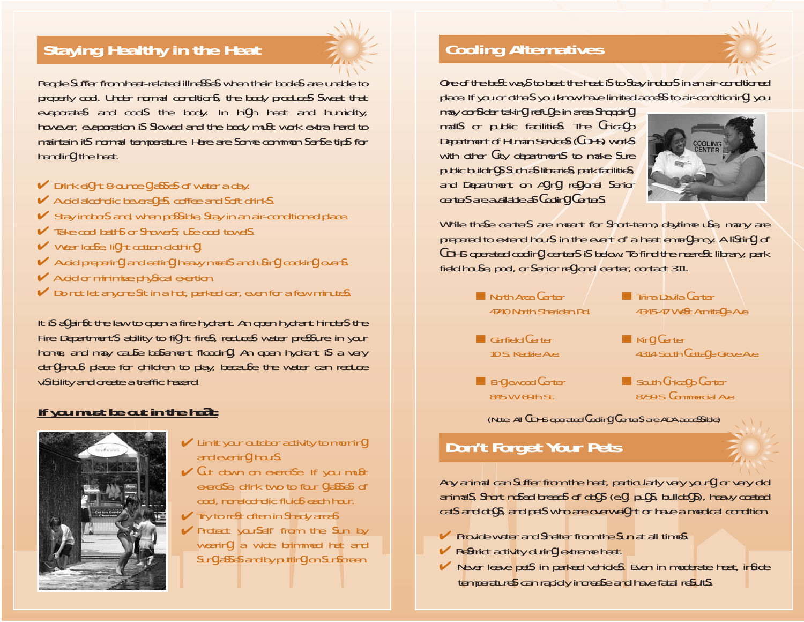# **Staying Healthy in the Heat**



People suffer from heat-related illnesses when their bodies are unable to properly cool. Under normal conditions, the body produces sweat that evaporates and cool s the body. In hi gh heat and humidity, however, evaporation is slowed and the body must work extra hard to maintain its normal temperature. Here are some common sense tips for handling the heat.

- **►** Drink eight 8-ounce glasses of water a day.
- $\blacktriangleright$  Avoid alcoholic beverages, coffee and soft drinks.
- $\blacktriangleright$  Stay indoors and, when possible, stay in an air-conditioned place.
- $\blacktriangleright$  Take cool baths or showers; use cool towels.
- **►** Wear loose, light cotton clothing.
- Avoid preparing and eating heavy meals and using cooking ovens.
- $\blacktriangleright$  Avoid or minimize physical exertion.
- $\triangleright$  Do not let anyone sit in a hot, parked car, even for a few minutes.

It i s against the law to open a fire hydrant. An open hydrant hinders the Fire Department' s ability to fi ght fires, reduces water pressure in your home, and may cause basement flooding. An open hydrant i s a very dangerous place for children to play, because the water can reduce vi sibility and create a traffic hazard.

## **If you must be out in the heat:**



- $\blacktriangleright$  Limit your outdoor activity to morning and evening hours.
- $\vee$  Cut down on exercise. If you must exerci se, drink two to four glasses of cool, nonalcoholic fluids each hour.
- $\blacktriangleright$  Try to rest often in shady areas
- $\blacktriangleright$  Protect yourself from the sun by wearing a wide brimmed hat and sunglasses and by putting on sunscreen.

# **Cooling Alternatives**

One of the best ways to beat the heat is to stay indoors in an air-conditioned place. If you or others you know have limited access to air-conditioning, you

may consider taking refuge in area shopping mall s or public facilities. The Chicago Department of Human Services (CDHS) works with other City departments to make sure public buildings such as libraries, park facilities, and Department on Aging regional senior centers are available as Cooling Centers.



While these centers are meant for short-term, daytime use, many are prepared to extend hours in the event of a heat emergency. A li sting of CDHS operated cooling centers i s below. To find the nearest library, park field house, pool, or senior regional center, contact 311.



(Note: All CDHS operated Cooling Centers are ADA accessible)

# **Don't Forget Your Pets**

Any animal can suffer from the heat, particularly very young or very old animal s, short nosed breeds of dogs (e. g. pugs, bulldogs), heavy coated cats and dogs, and pets who are overwei ght or have a medical condition.

- $\blacktriangleright$  Provide water and shelter from the sun at all times.
- $\blacktriangleright$  Restrict activity during extreme heat.
- $\blacktriangleright$  Never leave pets in parked vehicles. Even in moderate heat, inside temperatures can rapidly increase and have fatal results.